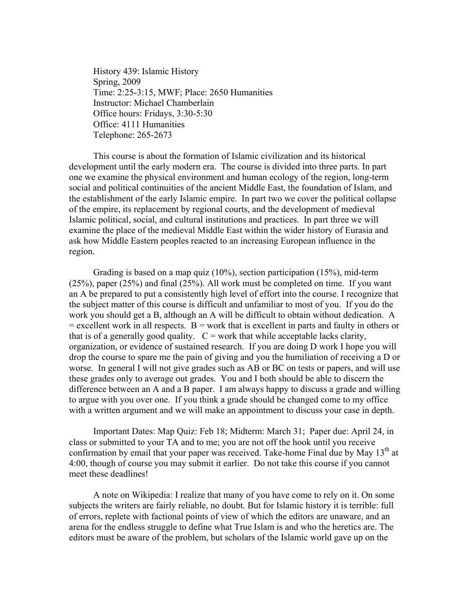History 439: Islamic History Spring, 2009 Time: 2:25-3:15, MWF; Place: 2650 Humanities Instructor: Michael Chamberlain Office hours: Fridays, 3:30-5:30 Office: 4111 Humanities Telephone: 265-2673

This course is about the formation of Islamic civilization and its historical development until the early modern era. The course is divided into three parts. In part one we examine the physical environment and human ecology of the region, long-term social and political continuities of the ancient Middle East, the foundation of Islam, and the establishment of the early Islamic empire. In part two we cover the political collapse of the empire, its replacement by regional courts, and the development of medieval Islamic political, social, and cultural institutions and practices. In part three we will examine the place of the medieval Middle East within the wider history of Eurasia and ask how Middle Eastern peoples reacted to an increasing European influence in the region.

Grading is based on a map quiz (10%), section participation (15%), mid-term (25%), paper (25%) and final (25%). All work must be completed on time. If you want an A be prepared to put a consistently high level of effort into the course. I recognize that the subject matter of this course is difficult and unfamiliar to most of you. If you do the work you should get a B, although an A will be difficult to obtain without dedication. A  $=$  excellent work in all respects.  $B =$  work that is excellent in parts and faulty in others or that is of a generally good quality.  $C =$  work that while acceptable lacks clarity, organization, or evidence of sustained research. If you are doing D work I hope you will drop the course to spare me the pain of giving and you the humiliation of receiving a D or worse. In general I will not give grades such as AB or BC on tests or papers, and will use these grades only to average out grades. You and I both should be able to discern the difference between an A and a B paper. I am always happy to discuss a grade and willing to argue with you over one. If you think a grade should be changed come to my office with a written argument and we will make an appointment to discuss your case in depth.

Important Dates: Map Quiz: Feb 18; Midterm: March 31; Paper due: April 24, in class or submitted to your TA and to me; you are not off the hook until you receive confirmation by email that your paper was received. Take-home Final due by May  $13<sup>th</sup>$  at 4:00, though of course you may submit it earlier. Do not take this course if you cannot meet these deadlines!

A note on Wikipedia: I realize that many of you have come to rely on it. On some subjects the writers are fairly reliable, no doubt. But for Islamic history it is terrible: full of errors, replete with factional points of view of which the editors are unaware, and an arena for the endless struggle to define what True Islam is and who the heretics are. The editors must be aware of the problem, but scholars of the Islamic world gave up on the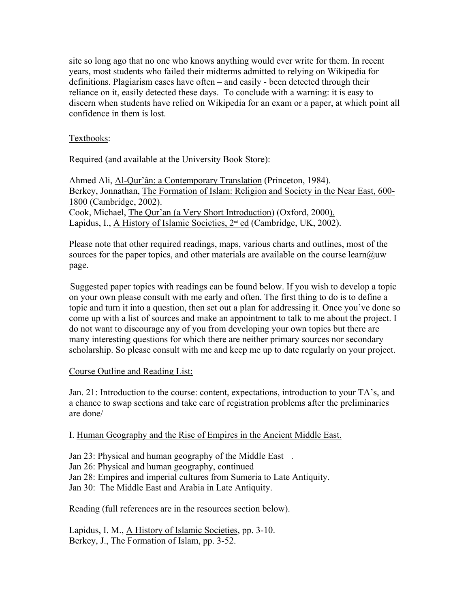site so long ago that no one who knows anything would ever write for them. In recent years, most students who failed their midterms admitted to relying on Wikipedia for definitions. Plagiarism cases have often – and easily - been detected through their reliance on it, easily detected these days. To conclude with a warning: it is easy to discern when students have relied on Wikipedia for an exam or a paper, at which point all confidence in them is lost.

### Textbooks:

Required (and available at the University Book Store):

Ahmed Ali, Al-Qur'ân: a Contemporary Translation (Princeton, 1984). Berkey, Jonnathan, The Formation of Islam: Religion and Society in the Near East, 600- 1800 (Cambridge, 2002). Cook, Michael, The Qur'an (a Very Short Introduction) (Oxford, 2000). Lapidus, I., A History of Islamic Societies, 2<sup>nd</sup> ed (Cambridge, UK, 2002).

 Please note that other required readings, maps, various charts and outlines, most of the sources for the paper topics, and other materials are available on the course learn $@u$ w page.

 Suggested paper topics with readings can be found below. If you wish to develop a topic on your own please consult with me early and often. The first thing to do is to define a topic and turn it into a question, then set out a plan for addressing it. Once you've done so come up with a list of sources and make an appointment to talk to me about the project. I do not want to discourage any of you from developing your own topics but there are many interesting questions for which there are neither primary sources nor secondary scholarship. So please consult with me and keep me up to date regularly on your project.

#### Course Outline and Reading List:

Jan. 21: Introduction to the course: content, expectations, introduction to your TA's, and a chance to swap sections and take care of registration problems after the preliminaries are done/

I. Human Geography and the Rise of Empires in the Ancient Middle East.

Jan 23: Physical and human geography of the Middle East .

Jan 26: Physical and human geography, continued

Jan 28: Empires and imperial cultures from Sumeria to Late Antiquity.

Jan 30: The Middle East and Arabia in Late Antiquity.

Reading (full references are in the resources section below).

Lapidus, I. M., A History of Islamic Societies, pp. 3-10. Berkey, J., The Formation of Islam, pp. 3-52.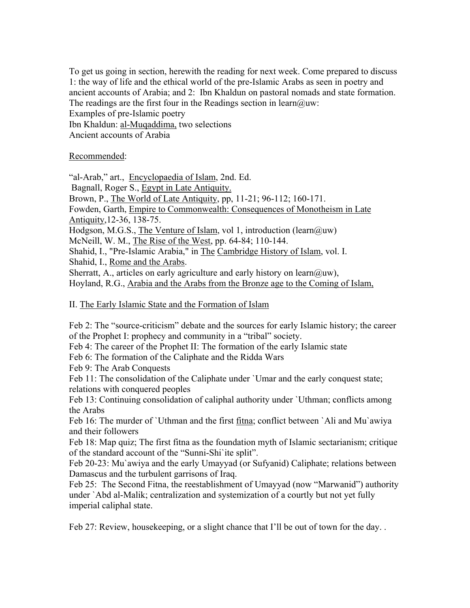To get us going in section, herewith the reading for next week. Come prepared to discuss 1: the way of life and the ethical world of the pre-Islamic Arabs as seen in poetry and ancient accounts of Arabia; and 2: Ibn Khaldun on pastoral nomads and state formation. The readings are the first four in the Readings section in learn@uw: Examples of pre-Islamic poetry

Ibn Khaldun: al-Muqaddima, two selections Ancient accounts of Arabia

## Recommended:

"al-Arab," art., Encyclopaedia of Islam, 2nd. Ed. Bagnall, Roger S., Egypt in Late Antiquity. Brown, P., The World of Late Antiquity, pp, 11-21; 96-112; 160-171. Fowden, Garth, Empire to Commonwealth: Consequences of Monotheism in Late Antiquity,12-36, 138-75. Hodgson, M.G.S., The Venture of Islam, vol 1, introduction (learn@uw) McNeill, W. M., The Rise of the West, pp. 64-84; 110-144. Shahid, I., "Pre-Islamic Arabia," in The Cambridge History of Islam, vol. I. Shahid, I., Rome and the Arabs. Sherratt, A., articles on early agriculture and early history on learn $(\partial_i u_w)$ , Hoyland, R.G., Arabia and the Arabs from the Bronze age to the Coming of Islam,

## II. The Early Islamic State and the Formation of Islam

Feb 2: The "source-criticism" debate and the sources for early Islamic history; the career of the Prophet I: prophecy and community in a "tribal" society.

Feb 4: The career of the Prophet II: The formation of the early Islamic state

Feb 6: The formation of the Caliphate and the Ridda Wars

Feb 9: The Arab Conquests

Feb 11: The consolidation of the Caliphate under `Umar and the early conquest state; relations with conquered peoples

Feb 13: Continuing consolidation of caliphal authority under `Uthman; conflicts among the Arabs

Feb 16: The murder of `Uthman and the first fitna; conflict between `Ali and Mu`awiya and their followers

Feb 18: Map quiz; The first fitna as the foundation myth of Islamic sectarianism; critique of the standard account of the "Sunni-Shi`ite split".

Feb 20-23: Mu`awiya and the early Umayyad (or Sufyanid) Caliphate; relations between Damascus and the turbulent garrisons of Iraq.

Feb 25: The Second Fitna, the reestablishment of Umayyad (now "Marwanid") authority under `Abd al-Malik; centralization and systemization of a courtly but not yet fully imperial caliphal state.

Feb 27: Review, housekeeping, or a slight chance that I'll be out of town for the day...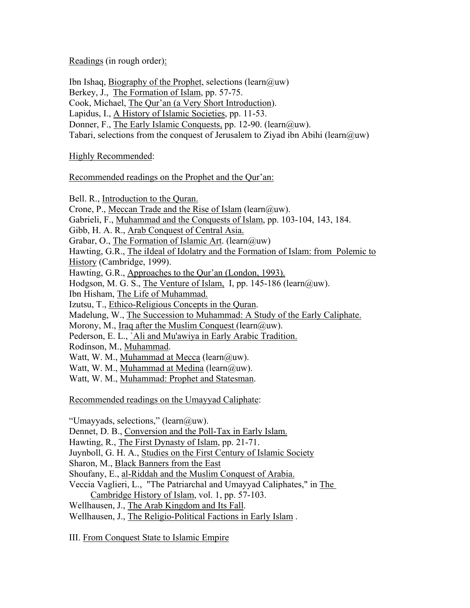Readings (in rough order):

Ibn Ishaq, Biography of the Prophet, selections (learn $(\partial_i u w)$ ) Berkey, J., The Formation of Islam, pp. 57-75. Cook, Michael, The Qur'an (a Very Short Introduction). Lapidus, I., A History of Islamic Societies, pp. 11-53. Donner, F., The Early Islamic Conquests, pp. 12-90. (learn@uw). Tabari, selections from the conquest of Jerusalem to Ziyad ibn Abihi (learn@uw)

# Highly Recommended:

# Recommended readings on the Prophet and the Qur'an:

Bell. R., Introduction to the Quran. Crone, P., Meccan Trade and the Rise of Islam (learn@uw). Gabrieli, F., Muhammad and the Conquests of Islam, pp. 103-104, 143, 184. Gibb, H. A. R., Arab Conquest of Central Asia. Grabar, O., The Formation of Islamic Art. (learn $@u$ w) Hawting, G.R., The iIdeal of Idolatry and the Formation of Islam: from Polemic to History (Cambridge, 1999). Hawting, G.R., Approaches to the Qur'an (London, 1993). Hodgson, M. G. S., The Venture of Islam, I, pp. 145-186 (learn@uw). Ibn Hisham, The Life of Muhammad. Izutsu, T., Ethico-Religious Concepts in the Quran. Madelung, W., The Succession to Muhammad: A Study of the Early Caliphate. Morony, M., Iraq after the Muslim Conquest (learn $(\partial_i)$ uw). Pederson, E. L., `Ali and Mu'awiya in Early Arabic Tradition. Rodinson, M., Muhammad. Watt, W. M., Muhammad at Mecca (learn $(\partial_u w)$ . Watt, W. M., Muhammad at Medina (learn@uw). Watt, W. M., Muhammad: Prophet and Statesman.

Recommended readings on the Umayyad Caliphate:

"Umayyads, selections," (learn@uw).

Dennet, D. B., Conversion and the Poll-Tax in Early Islam.

Hawting, R., The First Dynasty of Islam, pp. 21-71.

Juynboll, G. H. A., Studies on the First Century of Islamic Society

Sharon, M., Black Banners from the East

Shoufany, E., al-Riddah and the Muslim Conquest of Arabia.

Veccia Vaglieri, L., "The Patriarchal and Umayyad Caliphates," in The Cambridge History of Islam, vol. 1, pp. 57-103.

Wellhausen, J., The Arab Kingdom and Its Fall.

Wellhausen, J., The Religio-Political Factions in Early Islam .

III. From Conquest State to Islamic Empire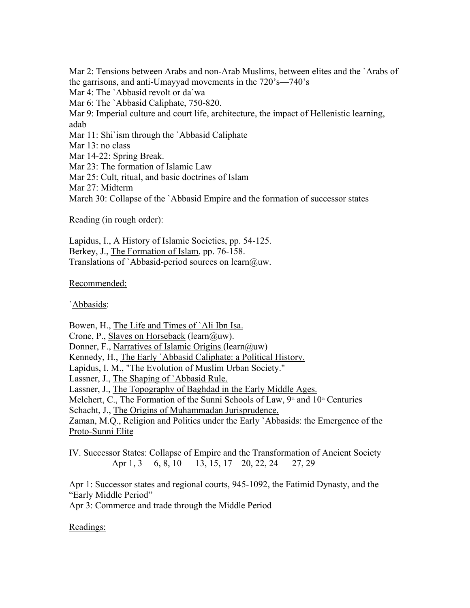Mar 2: Tensions between Arabs and non-Arab Muslims, between elites and the `Arabs of the garrisons, and anti-Umayyad movements in the 720's—740's

Mar 4: The `Abbasid revolt or da`wa

Mar 6: The `Abbasid Caliphate, 750-820.

Mar 9: Imperial culture and court life, architecture, the impact of Hellenistic learning, adab

Mar 11: Shi'ism through the 'Abbasid Caliphate'

Mar 13: no class

Mar 14-22: Spring Break.

Mar 23: The formation of Islamic Law

Mar 25: Cult, ritual, and basic doctrines of Islam

Mar 27: Midterm

March 30: Collapse of the `Abbasid Empire and the formation of successor states

Reading (in rough order):

Lapidus, I., A History of Islamic Societies, pp. 54-125. Berkey, J., The Formation of Islam, pp. 76-158. Translations of `Abbasid-period sources on learn@uw.

Recommended:

`Abbasids:

Bowen, H., The Life and Times of `Ali Ibn Isa.

Crone, P., Slaves on Horseback (learn@uw).

Donner, F., Narratives of Islamic Origins (learn $@uw$ )

Kennedy, H., The Early `Abbasid Caliphate: a Political History.

Lapidus, I. M., "The Evolution of Muslim Urban Society."

Lassner, J., The Shaping of `Abbasid Rule.

Lassner, J., The Topography of Baghdad in the Early Middle Ages.

Melchert, C., The Formation of the Sunni Schools of Law, 9<sup>th</sup> and 10<sup>th</sup> Centuries

Schacht, J., The Origins of Muhammadan Jurisprudence.

Zaman, M.Q., Religion and Politics under the Early `Abbasids: the Emergence of the Proto-Sunni Elite

IV. Successor States: Collapse of Empire and the Transformation of Ancient Society Apr 1, 3 6, 8, 10 13, 15, 17 20, 22, 24 27, 29

Apr 1: Successor states and regional courts, 945-1092, the Fatimid Dynasty, and the "Early Middle Period"

Apr 3: Commerce and trade through the Middle Period

Readings: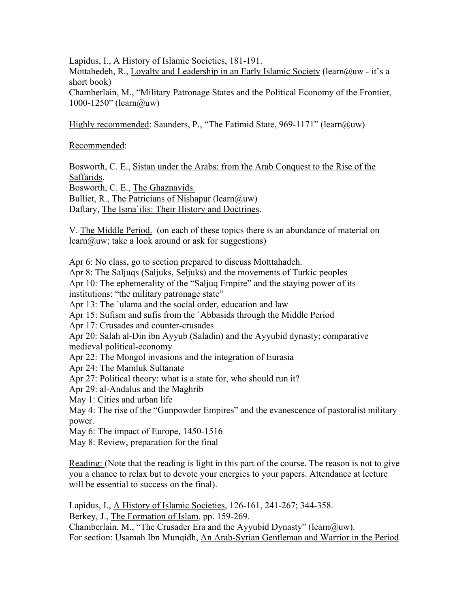Lapidus, I., A History of Islamic Societies, 181-191.

Mottahedeh, R., Loyalty and Leadership in an Early Islamic Society (learn@uw - it's a short book)

Chamberlain, M., "Military Patronage States and the Political Economy of the Frontier, 1000-1250" (learn@uw)

Highly recommended: Saunders, P., "The Fatimid State, 969-1171" (learn@uw)

Recommended:

Bosworth, C. E., Sistan under the Arabs: from the Arab Conquest to the Rise of the Saffarids.

Bosworth, C. E., The Ghaznavids.

Bulliet, R., The Patricians of Nishapur (learn $(\partial u)$ uw)

Daftary, The Isma`ilis: Their History and Doctrines.

V. The Middle Period. (on each of these topics there is an abundance of material on learn@uw; take a look around or ask for suggestions)

Apr 6: No class, go to section prepared to discuss Motttahadeh.

Apr 8: The Saljuqs (Saljuks, Seljuks) and the movements of Turkic peoples

Apr 10: The ephemerality of the "Saljuq Empire" and the staying power of its institutions: "the military patronage state"

Apr 13: The `ulama and the social order, education and law

Apr 15: Sufism and sufis from the `Abbasids through the Middle Period

Apr 17: Crusades and counter-crusades

Apr 20: Salah al-Din ibn Ayyub (Saladin) and the Ayyubid dynasty; comparative medieval political-economy

Apr 22: The Mongol invasions and the integration of Eurasia

Apr 24: The Mamluk Sultanate

Apr 27: Political theory: what is a state for, who should run it?

Apr 29: al-Andalus and the Maghrib

May 1: Cities and urban life

May 4: The rise of the "Gunpowder Empires" and the evanescence of pastoralist military power.

May 6: The impact of Europe, 1450-1516

May 8: Review, preparation for the final

Reading: (Note that the reading is light in this part of the course. The reason is not to give you a chance to relax but to devote your energies to your papers. Attendance at lecture will be essential to success on the final).

Lapidus, I., A History of Islamic Societies, 126-161, 241-267; 344-358. Berkey, J., The Formation of Islam, pp. 159-269. Chamberlain, M., "The Crusader Era and the Ayyubid Dynasty" (learn@uw). For section: Usamah Ibn Munqidh, An Arab-Syrian Gentleman and Warrior in the Period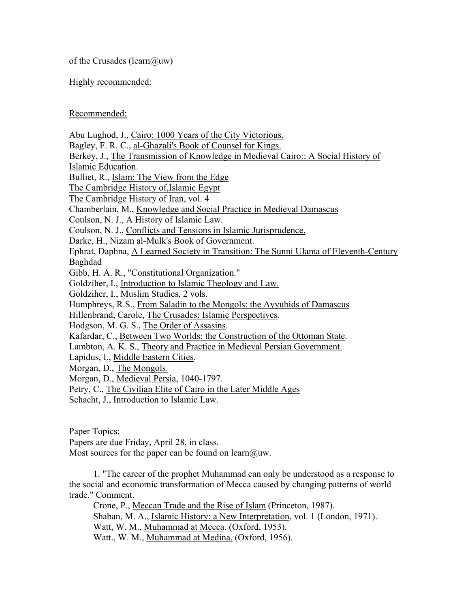of the Crusades (learn $(\partial_{\mu}uw)$ 

Highly recommended:

Recommended:

Abu Lughod, J., Cairo: 1000 Years of the City Victorious. Bagley, F. R. C., al-Ghazali's Book of Counsel for Kings. Berkey, J., The Transmission of Knowledge in Medieval Cairo:: A Social History of Islamic Education. Bulliet, R., Islam: The View from the Edge The Cambridge History of,Islamic Egypt The Cambridge History of Iran, vol. 4 Chamberlain, M., Knowledge and Social Practice in Medieval Damascus Coulson, N. J., A History of Islamic Law. Coulson, N. J., Conflicts and Tensions in Islamic Jurisprudence. Darke, H., Nizam al-Mulk's Book of Government. Ephrat, Daphna, A Learned Society in Transition: The Sunni Ulama of Eleventh-Century Baghdad Gibb, H. A. R., "Constitutional Organization." Goldziher, I., Introduction to Islamic Theology and Law. Goldziher, I., Muslim Studies, 2 vols. Humphreys, R.S., From Saladin to the Mongols: the Ayyubids of Damascus Hillenbrand, Carole, The Crusades: Islamic Perspectives. Hodgson, M. G. S., The Order of Assasins. Kafardar, C., Between Two Worlds: the Construction of the Ottoman State. Lambton, A. K. S., Theory and Practice in Medieval Persian Government. Lapidus, I., Middle Eastern Cities. Morgan, D., The Mongols. Morgan, D., Medieval Persia, 1040-1797. Petry, C., The Civilian Elite of Cairo in the Later Middle Ages Schacht, J., Introduction to Islamic Law. Paper Topics: Papers are due Friday, April 28, in class. Most sources for the paper can be found on learn $@u$ uw.

1. "The career of the prophet Muhammad can only be understood as a response to the social and economic transformation of Mecca caused by changing patterns of world trade." Comment.

Crone, P., Meccan Trade and the Rise of Islam (Princeton, 1987). Shaban, M. A., Islamic History: a New Interpretation, vol. 1 (London, 1971). Watt, W. M., Muhammad at Mecca. (Oxford, 1953). Watt., W. M., Muhammad at Medina. (Oxford, 1956).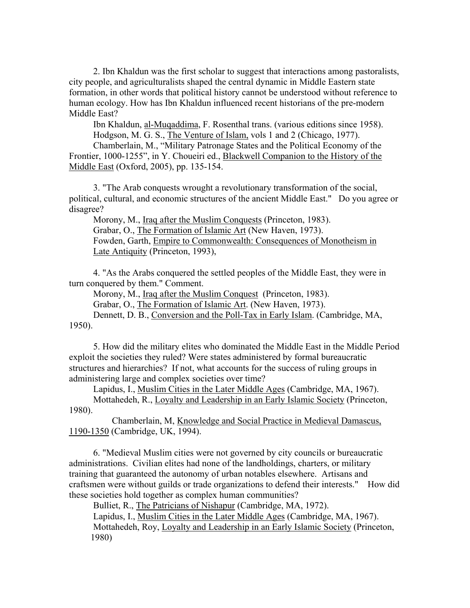2. Ibn Khaldun was the first scholar to suggest that interactions among pastoralists, city people, and agriculturalists shaped the central dynamic in Middle Eastern state formation, in other words that political history cannot be understood without reference to human ecology. How has Ibn Khaldun influenced recent historians of the pre-modern Middle East?

Ibn Khaldun, al-Muqaddima, F. Rosenthal trans. (various editions since 1958). Hodgson, M. G. S., The Venture of Islam, vols 1 and 2 (Chicago, 1977).

Chamberlain, M., "Military Patronage States and the Political Economy of the Frontier, 1000-1255", in Y. Choueiri ed., Blackwell Companion to the History of the Middle East (Oxford, 2005), pp. 135-154.

3. "The Arab conquests wrought a revolutionary transformation of the social, political, cultural, and economic structures of the ancient Middle East." Do you agree or disagree?

Morony, M., Iraq after the Muslim Conquests (Princeton, 1983). Grabar, O., The Formation of Islamic Art (New Haven, 1973). Fowden, Garth, Empire to Commonwealth: Consequences of Monotheism in Late Antiquity (Princeton, 1993),

4. "As the Arabs conquered the settled peoples of the Middle East, they were in turn conquered by them." Comment.

Morony, M., Iraq after the Muslim Conquest (Princeton, 1983).

Grabar, O., The Formation of Islamic Art. (New Haven, 1973).

Dennett, D. B., Conversion and the Poll-Tax in Early Islam. (Cambridge, MA, 1950).

5. How did the military elites who dominated the Middle East in the Middle Period exploit the societies they ruled? Were states administered by formal bureaucratic structures and hierarchies? If not, what accounts for the success of ruling groups in administering large and complex societies over time?

Lapidus, I., Muslim Cities in the Later Middle Ages (Cambridge, MA, 1967). Mottahedeh, R., Loyalty and Leadership in an Early Islamic Society (Princeton, 1980).

 Chamberlain, M, Knowledge and Social Practice in Medieval Damascus, 1190-1350 (Cambridge, UK, 1994).

6. "Medieval Muslim cities were not governed by city councils or bureaucratic administrations. Civilian elites had none of the landholdings, charters, or military training that guaranteed the autonomy of urban notables elsewhere. Artisans and craftsmen were without guilds or trade organizations to defend their interests." How did these societies hold together as complex human communities?

Bulliet, R., The Patricians of Nishapur (Cambridge, MA, 1972).

Lapidus, I., Muslim Cities in the Later Middle Ages (Cambridge, MA, 1967). Mottahedeh, Roy, Loyalty and Leadership in an Early Islamic Society (Princeton, 1980)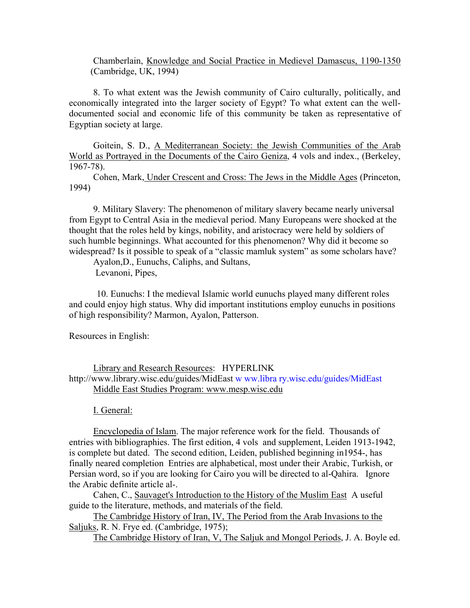Chamberlain, Knowledge and Social Practice in Medievel Damascus, 1190-1350 (Cambridge, UK, 1994)

8. To what extent was the Jewish community of Cairo culturally, politically, and economically integrated into the larger society of Egypt? To what extent can the welldocumented social and economic life of this community be taken as representative of Egyptian society at large.

Goitein, S. D., A Mediterranean Society: the Jewish Communities of the Arab World as Portrayed in the Documents of the Cairo Geniza, 4 vols and index., (Berkeley, 1967-78).

Cohen, Mark, Under Crescent and Cross: The Jews in the Middle Ages (Princeton, 1994)

9. Military Slavery: The phenomenon of military slavery became nearly universal from Egypt to Central Asia in the medieval period. Many Europeans were shocked at the thought that the roles held by kings, nobility, and aristocracy were held by soldiers of such humble beginnings. What accounted for this phenomenon? Why did it become so widespread? Is it possible to speak of a "classic mamluk system" as some scholars have?

Ayalon,D., Eunuchs, Caliphs, and Sultans,

Levanoni, Pipes,

 10. Eunuchs: I the medieval Islamic world eunuchs played many different roles and could enjoy high status. Why did important institutions employ eunuchs in positions of high responsibility? Marmon, Ayalon, Patterson.

Resources in English:

### Library and Research Resources: HYPERLINK http://www.library.wisc.edu/guides/MidEast w ww.libra ry.wisc.edu/guides/MidEast Middle East Studies Program: www.mesp.wisc.edu

I. General:

Encyclopedia of Islam. The major reference work for the field. Thousands of entries with bibliographies. The first edition, 4 vols and supplement, Leiden 1913-1942, is complete but dated. The second edition, Leiden, published beginning in1954-, has finally neared completion Entries are alphabetical, most under their Arabic, Turkish, or Persian word, so if you are looking for Cairo you will be directed to al-Qahira. Ignore the Arabic definite article al-.

Cahen, C., Sauvaget's Introduction to the History of the Muslim East A useful guide to the literature, methods, and materials of the field.

The Cambridge History of Iran, IV, The Period from the Arab Invasions to the Saljuks, R. N. Frye ed. (Cambridge, 1975);

The Cambridge History of Iran, V, The Saljuk and Mongol Periods, J. A. Boyle ed.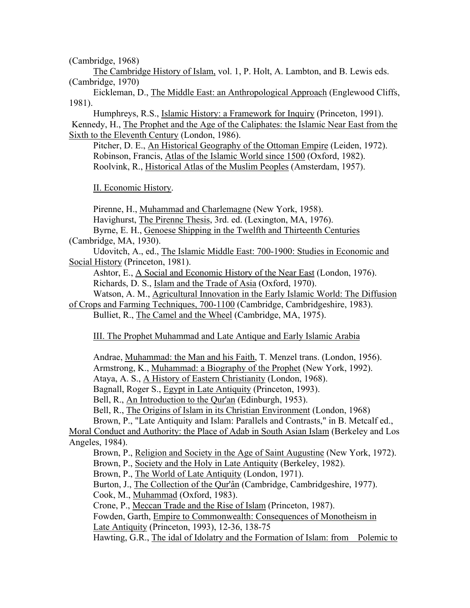(Cambridge, 1968)

The Cambridge History of Islam, vol. 1, P. Holt, A. Lambton, and B. Lewis eds. (Cambridge, 1970)

Eickleman, D., The Middle East: an Anthropological Approach (Englewood Cliffs, 1981).

Humphreys, R.S., Islamic History: a Framework for Inquiry (Princeton, 1991). Kennedy, H., The Prophet and the Age of the Caliphates: the Islamic Near East from the Sixth to the Eleventh Century (London, 1986).

Pitcher, D. E., An Historical Geography of the Ottoman Empire (Leiden, 1972). Robinson, Francis, Atlas of the Islamic World since 1500 (Oxford, 1982). Roolvink, R., Historical Atlas of the Muslim Peoples (Amsterdam, 1957).

II. Economic History.

Pirenne, H., Muhammad and Charlemagne (New York, 1958). Havighurst, The Pirenne Thesis, 3rd. ed. (Lexington, MA, 1976). Byrne, E. H., Genoese Shipping in the Twelfth and Thirteenth Centuries

(Cambridge, MA, 1930).

Udovitch, A., ed., The Islamic Middle East: 700-1900: Studies in Economic and Social History (Princeton, 1981).

Ashtor, E., A Social and Economic History of the Near East (London, 1976).

Richards, D. S., Islam and the Trade of Asia (Oxford, 1970).

Watson, A. M., Agricultural Innovation in the Early Islamic World: The Diffusion of Crops and Farming Techniques, 700-1100 (Cambridge, Cambridgeshire, 1983).

Bulliet, R., The Camel and the Wheel (Cambridge, MA, 1975).

III. The Prophet Muhammad and Late Antique and Early Islamic Arabia

Andrae, Muhammad: the Man and his Faith, T. Menzel trans. (London, 1956).

Armstrong, K., Muhammad: a Biography of the Prophet (New York, 1992).

Ataya, A. S., A History of Eastern Christianity (London, 1968).

Bagnall, Roger S., Egypt in Late Antiquity (Princeton, 1993).

Bell, R., An Introduction to the Qur'an (Edinburgh, 1953).

Bell, R., The Origins of Islam in its Christian Environment (London, 1968)

Brown, P., "Late Antiquity and Islam: Parallels and Contrasts," in B. Metcalf ed.,

Moral Conduct and Authority: the Place of Adab in South Asian Islam (Berkeley and Los Angeles, 1984).

Brown, P., Religion and Society in the Age of Saint Augustine (New York, 1972).

Brown, P., Society and the Holy in Late Antiquity (Berkeley, 1982).

Brown, P., The World of Late Antiquity (London, 1971).

Burton, J., The Collection of the Qur'ân (Cambridge, Cambridgeshire, 1977).

Cook, M., Muhammad (Oxford, 1983).

Crone, P., Meccan Trade and the Rise of Islam (Princeton, 1987).

Fowden, Garth, Empire to Commonwealth: Consequences of Monotheism in Late Antiquity (Princeton, 1993), 12-36, 138-75

Hawting, G.R., The idal of Idolatry and the Formation of Islam: from Polemic to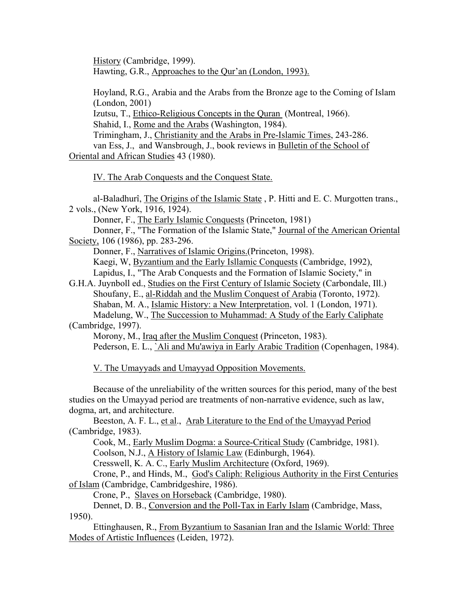History (Cambridge, 1999). Hawting, G.R., Approaches to the Qur'an (London, 1993).

Hoyland, R.G., Arabia and the Arabs from the Bronze age to the Coming of Islam (London, 2001)

Izutsu, T., Ethico-Religious Concepts in the Quran (Montreal, 1966).

Shahid, I., Rome and the Arabs (Washington, 1984).

Trimingham, J., Christianity and the Arabs in Pre-Islamic Times, 243-286.

van Ess, J., and Wansbrough, J., book reviews in Bulletin of the School of Oriental and African Studies 43 (1980).

IV. The Arab Conquests and the Conquest State.

al-Baladhurî, The Origins of the Islamic State , P. Hitti and E. C. Murgotten trans., 2 vols., (New York, 1916, 1924).

Donner, F., The Early Islamic Conquests (Princeton, 1981)

Donner, F., "The Formation of the Islamic State," Journal of the American Oriental Society, 106 (1986), pp. 283-296.

Donner, F., Narratives of Islamic Origins.(Princeton, 1998).

Kaegi, W, Byzantium and the Early Isllamic Conquests (Cambridge, 1992),

Lapidus, I., "The Arab Conquests and the Formation of Islamic Society," in

G.H.A. Juynboll ed., Studies on the First Century of Islamic Society (Carbondale, Ill.) Shoufany, E., al-Riddah and the Muslim Conquest of Arabia (Toronto, 1972). Shaban, M. A., Islamic History: a New Interpretation, vol. 1 (London, 1971). Madelung, W., The Succession to Muhammad: A Study of the Early Caliphate

## (Cambridge, 1997).

Morony, M., *Iraq after the Muslim Conquest* (Princeton, 1983).

Pederson, E. L., `Ali and Mu'awiya in Early Arabic Tradition (Copenhagen, 1984).

V. The Umayyads and Umayyad Opposition Movements.

Because of the unreliability of the written sources for this period, many of the best studies on the Umayyad period are treatments of non-narrative evidence, such as law, dogma, art, and architecture.

Beeston, A. F. L., et al., Arab Literature to the End of the Umayyad Period (Cambridge, 1983).

Cook, M., Early Muslim Dogma: a Source-Critical Study (Cambridge, 1981).

Coolson, N.J., A History of Islamic Law (Edinburgh, 1964).

Cresswell, K. A. C., Early Muslim Architecture (Oxford, 1969).

Crone, P., and Hinds, M., God's Caliph: Religious Authority in the First Centuries of Islam (Cambridge, Cambridgeshire, 1986).

Crone, P., Slaves on Horseback (Cambridge, 1980).

Dennet, D. B., Conversion and the Poll-Tax in Early Islam (Cambridge, Mass, 1950).

Ettinghausen, R., From Byzantium to Sasanian Iran and the Islamic World: Three Modes of Artistic Influences (Leiden, 1972).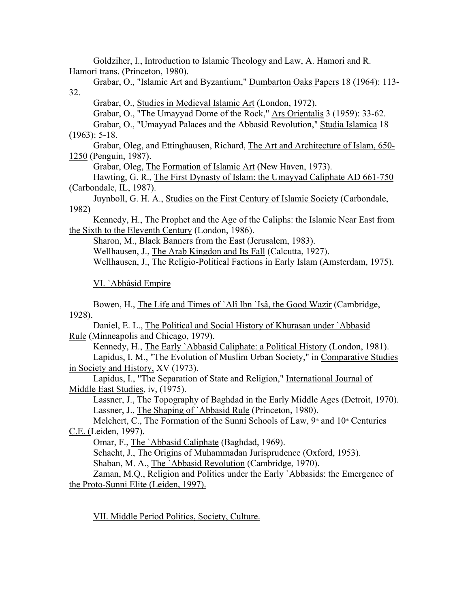Goldziher, I., Introduction to Islamic Theology and Law, A. Hamori and R. Hamori trans. (Princeton, 1980).

Grabar, O., "Islamic Art and Byzantium," Dumbarton Oaks Papers 18 (1964): 113- 32.

Grabar, O., Studies in Medieval Islamic Art (London, 1972).

Grabar, O., "The Umayyad Dome of the Rock," Ars Orientalis 3 (1959): 33-62.

Grabar, O., "Umayyad Palaces and the Abbasid Revolution," Studia Islamica 18 (1963): 5-18.

Grabar, Oleg, and Ettinghausen, Richard, The Art and Architecture of Islam, 650- 1250 (Penguin, 1987).

Grabar, Oleg, The Formation of Islamic Art (New Haven, 1973).

Hawting, G. R., The First Dynasty of Islam: the Umayyad Caliphate AD 661-750 (Carbondale, IL, 1987).

Juynboll, G. H. A., Studies on the First Century of Islamic Society (Carbondale, 1982)

Kennedy, H., The Prophet and the Age of the Caliphs: the Islamic Near East from the Sixth to the Eleventh Century (London, 1986).

Sharon, M., Black Banners from the East (Jerusalem, 1983). Wellhausen, J., The Arab Kingdon and Its Fall (Calcutta, 1927).

Wellhausen, J., The Religio-Political Factions in Early Islam (Amsterdam, 1975).

VI. `Abbâsid Empire

Bowen, H., The Life and Times of `Alî Ibn `Isâ, the Good Wazir (Cambridge, 1928).

Daniel, E. L., The Political and Social History of Khurasan under `Abbasid Rule (Minneapolis and Chicago, 1979).

Kennedy, H., The Early `Abbasid Caliphate: a Political History (London, 1981).

Lapidus, I. M., "The Evolution of Muslim Urban Society," in Comparative Studies in Society and History, XV (1973).

Lapidus, I., "The Separation of State and Religion," International Journal of Middle East Studies, iv, (1975).

Lassner, J., The Topography of Baghdad in the Early Middle Ages (Detroit, 1970). Lassner, J., The Shaping of `Abbasid Rule (Princeton, 1980).

Melchert, C., The Formation of the Sunni Schools of Law,  $9<sup>th</sup>$  and  $10<sup>th</sup>$  Centuries C.E. (Leiden, 1997).

Omar, F., The `Abbasid Caliphate (Baghdad, 1969).

Schacht, J., The Origins of Muhammadan Jurisprudence (Oxford, 1953).

Shaban, M. A., The `Abbasid Revolution (Cambridge, 1970).

Zaman, M.Q., Religion and Politics under the Early `Abbasids: the Emergence of the Proto-Sunni Elite (Leiden, 1997).

VII. Middle Period Politics, Society, Culture.